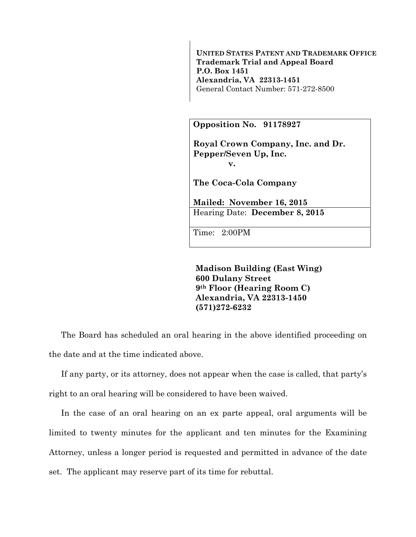**UNITED STATES PATENT AND TRADEMARK OFFICE Trademark Trial and Appeal Board P.O. Box 1451 Alexandria, VA 22313-1451**  General Contact Number: 571-272-8500

**Opposition No. 91178927** 

**Royal Crown Company, Inc. and Dr. Pepper/Seven Up, Inc. v.** 

**The Coca-Cola Company** 

**Mailed: November 16, 2015**  Hearing Date: **December 8, 2015** 

Time: 2:00PM

**Madison Building (East Wing) 600 Dulany Street 9th Floor (Hearing Room C) Alexandria, VA 22313-1450 (571)272-6232** 

The Board has scheduled an oral hearing in the above identified proceeding on the date and at the time indicated above.

If any party, or its attorney, does not appear when the case is called, that party's right to an oral hearing will be considered to have been waived.

In the case of an oral hearing on an ex parte appeal, oral arguments will be limited to twenty minutes for the applicant and ten minutes for the Examining Attorney, unless a longer period is requested and permitted in advance of the date set. The applicant may reserve part of its time for rebuttal.